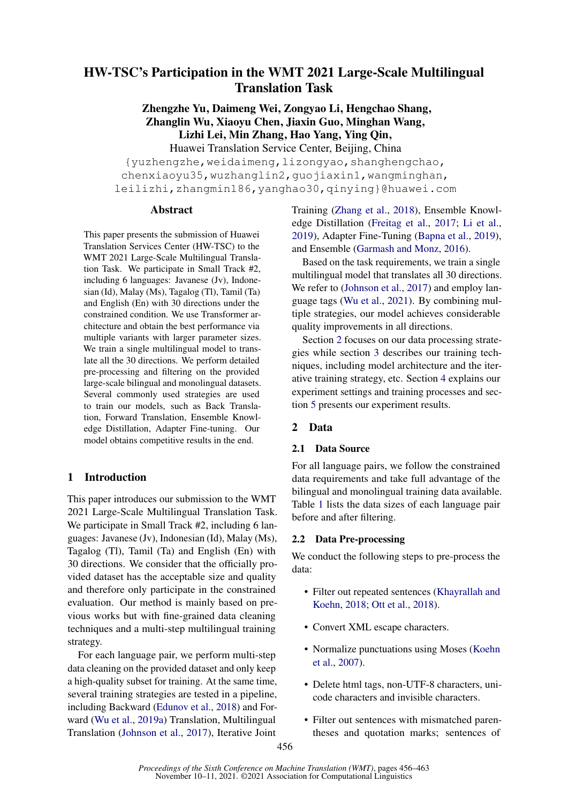# HW-TSC's Participation in the WMT 2021 Large-Scale Multilingual Translation Task

Zhengzhe Yu, Daimeng Wei, Zongyao Li, Hengchao Shang, Zhanglin Wu, Xiaoyu Chen, Jiaxin Guo, Minghan Wang, Lizhi Lei, Min Zhang, Hao Yang, Ying Qin,

Huawei Translation Service Center, Beijing, China {yuzhengzhe,weidaimeng,lizongyao,shanghengchao, chenxiaoyu35,wuzhanglin2,guojiaxin1,wangminghan, leilizhi,zhangmin186,yanghao30,qinying}@huawei.com

### **Abstract**

This paper presents the submission of Huawei Translation Services Center (HW-TSC) to the WMT 2021 Large-Scale Multilingual Translation Task. We participate in Small Track #2, including 6 languages: Javanese (Jv), Indonesian (Id), Malay (Ms), Tagalog (Tl), Tamil (Ta) and English (En) with 30 directions under the constrained condition. We use Transformer architecture and obtain the best performance via multiple variants with larger parameter sizes. We train a single multilingual model to translate all the 30 directions. We perform detailed pre-processing and filtering on the provided large-scale bilingual and monolingual datasets. Several commonly used strategies are used to train our models, such as Back Translation, Forward Translation, Ensemble Knowledge Distillation, Adapter Fine-tuning. Our model obtains competitive results in the end.

# 1 Introduction

This paper introduces our submission to the WMT 2021 Large-Scale Multilingual Translation Task. We participate in Small Track #2, including 6 languages: Javanese (Jv), Indonesian (Id), Malay (Ms), Tagalog (Tl), Tamil (Ta) and English (En) with 30 directions. We consider that the officially provided dataset has the acceptable size and quality and therefore only participate in the constrained evaluation. Our method is mainly based on previous works but with fine-grained data cleaning techniques and a multi-step multilingual training strategy.

For each language pair, we perform multi-step data cleaning on the provided dataset and only keep a high-quality subset for training. At the same time, several training strategies are tested in a pipeline, including Backward [\(Edunov et al.,](#page-4-0) [2018\)](#page-4-0) and Forward [\(Wu et al.,](#page-5-0) [2019a\)](#page-5-0) Translation, Multilingual Translation [\(Johnson et al.,](#page-4-1) [2017\)](#page-4-1), Iterative Joint

Training [\(Zhang et al.,](#page-5-1) [2018\)](#page-5-1), Ensemble Knowledge Distillation [\(Freitag et al.,](#page-4-2) [2017;](#page-4-2) [Li et al.,](#page-5-2) [2019\)](#page-5-2), Adapter Fine-Tuning [\(Bapna et al.,](#page-4-3) [2019\)](#page-4-3), and Ensemble [\(Garmash and Monz,](#page-4-4) [2016\)](#page-4-4).

Based on the task requirements, we train a single multilingual model that translates all 30 directions. We refer to [\(Johnson et al.,](#page-4-1) [2017\)](#page-4-1) and employ language tags [\(Wu et al.,](#page-5-3) [2021\)](#page-5-3). By combining multiple strategies, our model achieves considerable quality improvements in all directions.

Section [2](#page-0-0) focuses on our data processing strategies while section [3](#page-1-0) describes our training techniques, including model architecture and the iterative training strategy, etc. Section [4](#page-3-0) explains our experiment settings and training processes and section [5](#page-4-5) presents our experiment results.

# <span id="page-0-0"></span>2 Data

# 2.1 Data Source

For all language pairs, we follow the constrained data requirements and take full advantage of the bilingual and monolingual training data available. Table [1](#page-2-0) lists the data sizes of each language pair before and after filtering.

# <span id="page-0-1"></span>2.2 Data Pre-processing

We conduct the following steps to pre-process the data:

- Filter out repeated sentences [\(Khayrallah and](#page-5-4) [Koehn,](#page-5-4) [2018;](#page-5-4) [Ott et al.,](#page-5-5) [2018\)](#page-5-5).
- Convert XML escape characters.
- Normalize punctuations using Moses [\(Koehn](#page-5-6) [et al.,](#page-5-6) [2007\)](#page-5-6).
- Delete html tags, non-UTF-8 characters, unicode characters and invisible characters.
- Filter out sentences with mismatched parentheses and quotation marks; sentences of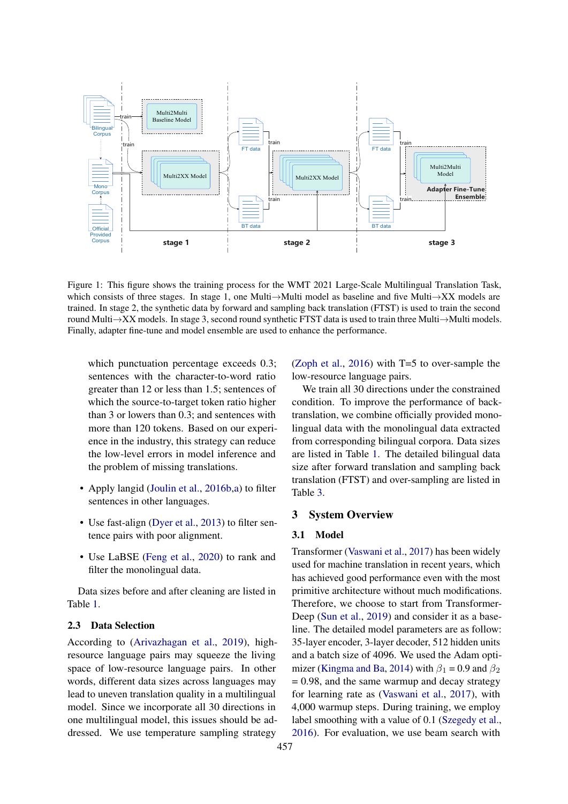<span id="page-1-1"></span>

Figure 1: This figure shows the training process for the WMT 2021 Large-Scale Multilingual Translation Task, which consists of three stages. In stage 1, one Multi→Multi model as baseline and five Multi→XX models are trained. In stage 2, the synthetic data by forward and sampling back translation (FTST) is used to train the second round Multi→XX models. In stage 3, second round synthetic FTST data is used to train three Multi→Multi models. Finally, adapter fine-tune and model ensemble are used to enhance the performance.

which punctuation percentage exceeds 0.3; sentences with the character-to-word ratio greater than 12 or less than 1.5; sentences of which the source-to-target token ratio higher than 3 or lowers than 0.3; and sentences with more than 120 tokens. Based on our experience in the industry, this strategy can reduce the low-level errors in model inference and the problem of missing translations.

- Apply langid [\(Joulin et al.,](#page-4-6) [2016b](#page-4-6)[,a\)](#page-4-7) to filter sentences in other languages.
- Use fast-align [\(Dyer et al.,](#page-4-8) [2013\)](#page-4-8) to filter sentence pairs with poor alignment.
- Use LaBSE [\(Feng et al.,](#page-4-9) [2020\)](#page-4-9) to rank and filter the monolingual data.

Data sizes before and after cleaning are listed in Table [1.](#page-2-0)

### 2.3 Data Selection

According to [\(Arivazhagan et al.,](#page-4-10) [2019\)](#page-4-10), highresource language pairs may squeeze the living space of low-resource language pairs. In other words, different data sizes across languages may lead to uneven translation quality in a multilingual model. Since we incorporate all 30 directions in one multilingual model, this issues should be addressed. We use temperature sampling strategy

[\(Zoph et al.,](#page-5-7) [2016\)](#page-5-7) with T=5 to over-sample the low-resource language pairs.

We train all 30 directions under the constrained condition. To improve the performance of backtranslation, we combine officially provided monolingual data with the monolingual data extracted from corresponding bilingual corpora. Data sizes are listed in Table [1.](#page-2-0) The detailed bilingual data size after forward translation and sampling back translation (FTST) and over-sampling are listed in Table [3.](#page-6-0)

### <span id="page-1-0"></span>3 System Overview

#### <span id="page-1-2"></span>3.1 Model

Transformer [\(Vaswani et al.,](#page-5-8) [2017\)](#page-5-8) has been widely used for machine translation in recent years, which has achieved good performance even with the most primitive architecture without much modifications. Therefore, we choose to start from Transformer-Deep [\(Sun et al.,](#page-5-9) [2019\)](#page-5-9) and consider it as a baseline. The detailed model parameters are as follow: 35-layer encoder, 3-layer decoder, 512 hidden units and a batch size of 4096. We used the Adam opti-mizer [\(Kingma and Ba,](#page-5-10) [2014\)](#page-5-10) with  $\beta_1 = 0.9$  and  $\beta_2$  $= 0.98$ , and the same warmup and decay strategy for learning rate as [\(Vaswani et al.,](#page-5-8) [2017\)](#page-5-8), with 4,000 warmup steps. During training, we employ label smoothing with a value of 0.1 [\(Szegedy et al.,](#page-5-11) [2016\)](#page-5-11). For evaluation, we use beam search with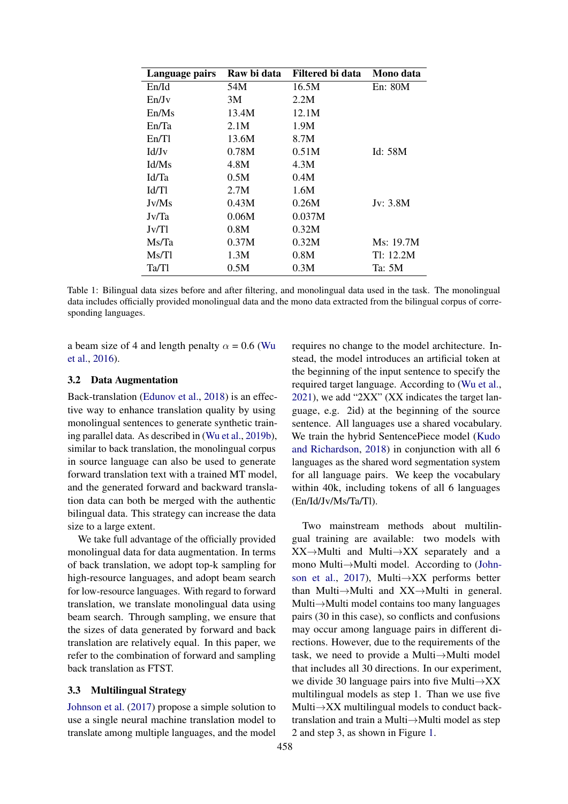<span id="page-2-0"></span>

| Language pairs | Raw bi data | Filtered bi data | Mono data  |
|----------------|-------------|------------------|------------|
| En/Id          | 54M         | 16.5M            | En: 80M    |
| En/Jv          | 3M          | 2.2M             |            |
| En/Ms          | 13.4M       | 12.1M            |            |
| En/Ta          | 2.1M        | 1.9M             |            |
| En/T1          | 13.6M       | 8.7M             |            |
| Id/Jv          | 0.78M       | 0.51M            | Id: 58M    |
| Id/Ms          | 4.8M        | 4.3M             |            |
| Id/Ta          | 0.5M        | 0.4M             |            |
| Id/Tl          | 2.7M        | 1.6M             |            |
| Jv/Ms          | 0.43M       | 0.26M            | Jv: $3.8M$ |
| Jv/Ta          | 0.06M       | 0.037M           |            |
| Jv/Tl          | 0.8M        | 0.32M            |            |
| Ms/Ta          | 0.37M       | 0.32M            | Ms: 19.7M  |
| Ms/Tl          | 1.3M        | 0.8M             | Tl: 12.2M  |
| Ta/Tl          | 0.5M        | 0.3M             | Ta: 5M     |

Table 1: Bilingual data sizes before and after filtering, and monolingual data used in the task. The monolingual data includes officially provided monolingual data and the mono data extracted from the bilingual corpus of corresponding languages.

a beam size of 4 and length penalty  $\alpha = 0.6$  [\(Wu](#page-5-12) [et al.,](#page-5-12) [2016\)](#page-5-12).

### 3.2 Data Augmentation

Back-translation [\(Edunov et al.,](#page-4-0) [2018\)](#page-4-0) is an effective way to enhance translation quality by using monolingual sentences to generate synthetic training parallel data. As described in [\(Wu et al.,](#page-5-13) [2019b\)](#page-5-13), similar to back translation, the monolingual corpus in source language can also be used to generate forward translation text with a trained MT model, and the generated forward and backward translation data can both be merged with the authentic bilingual data. This strategy can increase the data size to a large extent.

We take full advantage of the officially provided monolingual data for data augmentation. In terms of back translation, we adopt top-k sampling for high-resource languages, and adopt beam search for low-resource languages. With regard to forward translation, we translate monolingual data using beam search. Through sampling, we ensure that the sizes of data generated by forward and back translation are relatively equal. In this paper, we refer to the combination of forward and sampling back translation as FTST.

#### 3.3 Multilingual Strategy

[Johnson et al.](#page-4-1) [\(2017\)](#page-4-1) propose a simple solution to use a single neural machine translation model to translate among multiple languages, and the model

requires no change to the model architecture. Instead, the model introduces an artificial token at the beginning of the input sentence to specify the required target language. According to [\(Wu et al.,](#page-5-3)  $2021$ ), we add " $2XX$ " (XX indicates the target language, e.g. 2id) at the beginning of the source sentence. All languages use a shared vocabulary. We train the hybrid SentencePiece model [\(Kudo](#page-5-14) [and Richardson,](#page-5-14) [2018\)](#page-5-14) in conjunction with all 6 languages as the shared word segmentation system for all language pairs. We keep the vocabulary within 40k, including tokens of all 6 languages (En/Id/Jv/Ms/Ta/Tl).

Two mainstream methods about multilingual training are available: two models with XX→Multi and Multi→XX separately and a mono Multi→Multi model. According to [\(John](#page-4-1)[son et al.,](#page-4-1) [2017\)](#page-4-1), Multi $\rightarrow$ XX performs better than Multi→Multi and XX→Multi in general. Multi→Multi model contains too many languages pairs (30 in this case), so conflicts and confusions may occur among language pairs in different directions. However, due to the requirements of the task, we need to provide a Multi→Multi model that includes all 30 directions. In our experiment, we divide 30 language pairs into five Multi→XX multilingual models as step 1. Than we use five Multi $\rightarrow$ XX multilingual models to conduct backtranslation and train a Multi→Multi model as step 2 and step 3, as shown in Figure [1.](#page-1-1)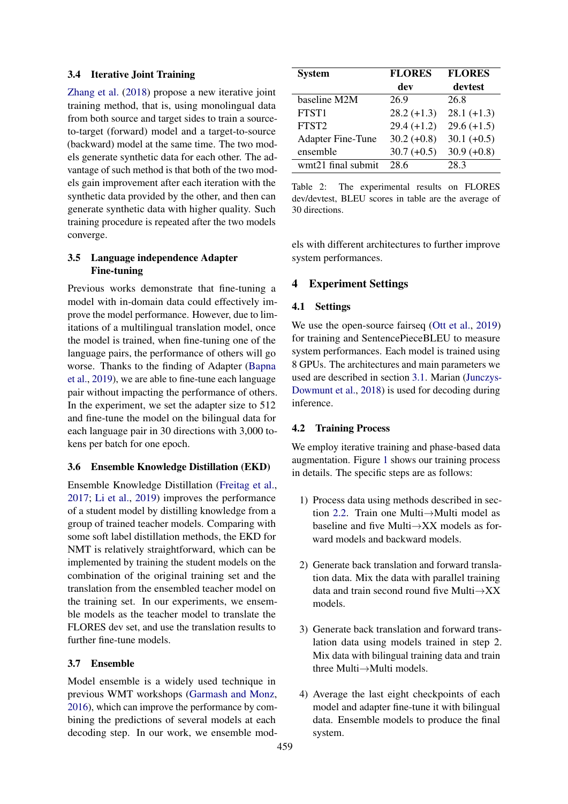#### 3.4 Iterative Joint Training

[Zhang et al.](#page-5-1) [\(2018\)](#page-5-1) propose a new iterative joint training method, that is, using monolingual data from both source and target sides to train a sourceto-target (forward) model and a target-to-source (backward) model at the same time. The two models generate synthetic data for each other. The advantage of such method is that both of the two models gain improvement after each iteration with the synthetic data provided by the other, and then can generate synthetic data with higher quality. Such training procedure is repeated after the two models converge.

### 3.5 Language independence Adapter Fine-tuning

Previous works demonstrate that fine-tuning a model with in-domain data could effectively improve the model performance. However, due to limitations of a multilingual translation model, once the model is trained, when fine-tuning one of the language pairs, the performance of others will go worse. Thanks to the finding of Adapter [\(Bapna](#page-4-3) [et al.,](#page-4-3) [2019\)](#page-4-3), we are able to fine-tune each language pair without impacting the performance of others. In the experiment, we set the adapter size to 512 and fine-tune the model on the bilingual data for each language pair in 30 directions with 3,000 tokens per batch for one epoch.

### 3.6 Ensemble Knowledge Distillation (EKD)

Ensemble Knowledge Distillation [\(Freitag et al.,](#page-4-2) [2017;](#page-4-2) [Li et al.,](#page-5-2) [2019\)](#page-5-2) improves the performance of a student model by distilling knowledge from a group of trained teacher models. Comparing with some soft label distillation methods, the EKD for NMT is relatively straightforward, which can be implemented by training the student models on the combination of the original training set and the translation from the ensembled teacher model on the training set. In our experiments, we ensemble models as the teacher model to translate the FLORES dev set, and use the translation results to further fine-tune models.

### 3.7 Ensemble

Model ensemble is a widely used technique in previous WMT workshops [\(Garmash and Monz,](#page-4-4) [2016\)](#page-4-4), which can improve the performance by combining the predictions of several models at each decoding step. In our work, we ensemble mod-

<span id="page-3-1"></span>

| <b>System</b>            | <b>FLORES</b> | <b>FLORES</b> |
|--------------------------|---------------|---------------|
|                          | dev           | devtest       |
| baseline M2M             | 26.9          | 26.8          |
| FTST1                    | $28.2 (+1.3)$ | $28.1 (+1.3)$ |
| FTST <sub>2</sub>        | $29.4 (+1.2)$ | $29.6 (+1.5)$ |
| <b>Adapter Fine-Tune</b> | $30.2 (+0.8)$ | $30.1 (+0.5)$ |
| ensemble                 | $30.7 (+0.5)$ | $30.9 (+0.8)$ |
| wmt21 final submit       | 28.6          | 28.3          |

Table 2: The experimental results on FLORES dev/devtest, BLEU scores in table are the average of 30 directions.

els with different architectures to further improve system performances.

### <span id="page-3-0"></span>4 Experiment Settings

### 4.1 Settings

We use the open-source fairseq [\(Ott et al.,](#page-5-15) [2019\)](#page-5-15) for training and SentencePieceBLEU to measure system performances. Each model is trained using 8 GPUs. The architectures and main parameters we used are described in section [3.1.](#page-1-2) Marian [\(Junczys-](#page-4-11)[Dowmunt et al.,](#page-4-11) [2018\)](#page-4-11) is used for decoding during inference.

#### 4.2 Training Process

We employ iterative training and phase-based data augmentation. Figure [1](#page-1-1) shows our training process in details. The specific steps are as follows:

- 1) Process data using methods described in section [2.2.](#page-0-1) Train one Multi→Multi model as baseline and five Multi $\rightarrow$ XX models as forward models and backward models.
- 2) Generate back translation and forward translation data. Mix the data with parallel training data and train second round five Multi→XX models.
- 3) Generate back translation and forward translation data using models trained in step 2. Mix data with bilingual training data and train three Multi→Multi models.
- 4) Average the last eight checkpoints of each model and adapter fine-tune it with bilingual data. Ensemble models to produce the final system.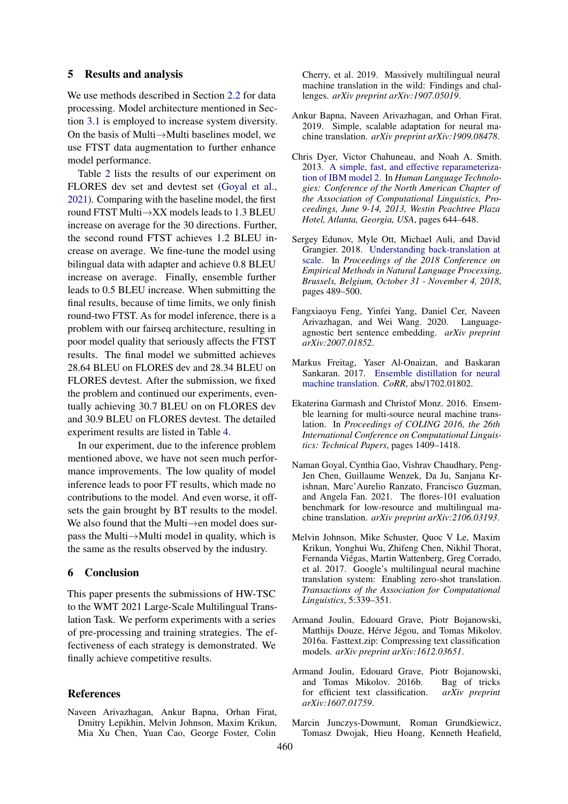### <span id="page-4-5"></span>5 Results and analysis

We use methods described in Section [2.2](#page-0-1) for data processing. Model architecture mentioned in Section [3.1](#page-1-2) is employed to increase system diversity. On the basis of Multi→Multi baselines model, we use FTST data augmentation to further enhance model performance.

Table [2](#page-3-1) lists the results of our experiment on FLORES dev set and devtest set [\(Goyal et al.,](#page-4-12) [2021\)](#page-4-12). Comparing with the baseline model, the first round FTST Multi→XX models leads to 1.3 BLEU increase on average for the 30 directions. Further, the second round FTST achieves 1.2 BLEU increase on average. We fine-tune the model using bilingual data with adapter and achieve 0.8 BLEU increase on average. Finally, ensemble further leads to 0.5 BLEU increase. When submitting the final results, because of time limits, we only finish round-two FTST. As for model inference, there is a problem with our fairseq architecture, resulting in poor model quality that seriously affects the FTST results. The final model we submitted achieves 28.64 BLEU on FLORES dev and 28.34 BLEU on FLORES devtest. After the submission, we fixed the problem and continued our experiments, eventually achieving 30.7 BLEU on on FLORES dev and 30.9 BLEU on FLORES devtest. The detailed experiment results are listed in Table [4.](#page-7-0)

In our experiment, due to the inference problem mentioned above, we have not seen much performance improvements. The low quality of model inference leads to poor FT results, which made no contributions to the model. And even worse, it offsets the gain brought by BT results to the model. We also found that the Multi→en model does surpass the Multi→Multi model in quality, which is the same as the results observed by the industry.

### 6 Conclusion

This paper presents the submissions of HW-TSC to the WMT 2021 Large-Scale Multilingual Translation Task. We perform experiments with a series of pre-processing and training strategies. The effectiveness of each strategy is demonstrated. We finally achieve competitive results.

#### References

<span id="page-4-10"></span>Naveen Arivazhagan, Ankur Bapna, Orhan Firat, Dmitry Lepikhin, Melvin Johnson, Maxim Krikun, Mia Xu Chen, Yuan Cao, George Foster, Colin

Cherry, et al. 2019. Massively multilingual neural machine translation in the wild: Findings and challenges. *arXiv preprint arXiv:1907.05019*.

- <span id="page-4-3"></span>Ankur Bapna, Naveen Arivazhagan, and Orhan Firat. 2019. Simple, scalable adaptation for neural machine translation. *arXiv preprint arXiv:1909.08478*.
- <span id="page-4-8"></span>Chris Dyer, Victor Chahuneau, and Noah A. Smith. 2013. [A simple, fast, and effective reparameteriza](https://www.aclweb.org/anthology/N13-1073/)[tion of IBM model 2.](https://www.aclweb.org/anthology/N13-1073/) In *Human Language Technologies: Conference of the North American Chapter of the Association of Computational Linguistics, Proceedings, June 9-14, 2013, Westin Peachtree Plaza Hotel, Atlanta, Georgia, USA*, pages 644–648.
- <span id="page-4-0"></span>Sergey Edunov, Myle Ott, Michael Auli, and David Grangier. 2018. [Understanding back-translation at](https://doi.org/10.18653/v1/d18-1045) [scale.](https://doi.org/10.18653/v1/d18-1045) In *Proceedings of the 2018 Conference on Empirical Methods in Natural Language Processing, Brussels, Belgium, October 31 - November 4, 2018*, pages 489–500.
- <span id="page-4-9"></span>Fangxiaoyu Feng, Yinfei Yang, Daniel Cer, Naveen Arivazhagan, and Wei Wang. 2020. Languageagnostic bert sentence embedding. *arXiv preprint arXiv:2007.01852*.
- <span id="page-4-2"></span>Markus Freitag, Yaser Al-Onaizan, and Baskaran Sankaran. 2017. [Ensemble distillation for neural](http://arxiv.org/abs/1702.01802) [machine translation.](http://arxiv.org/abs/1702.01802) *CoRR*, abs/1702.01802.
- <span id="page-4-4"></span>Ekaterina Garmash and Christof Monz. 2016. Ensemble learning for multi-source neural machine translation. In *Proceedings of COLING 2016, the 26th International Conference on Computational Linguistics: Technical Papers*, pages 1409–1418.
- <span id="page-4-12"></span>Naman Goyal, Cynthia Gao, Vishrav Chaudhary, Peng-Jen Chen, Guillaume Wenzek, Da Ju, Sanjana Krishnan, Marc'Aurelio Ranzato, Francisco Guzman, and Angela Fan. 2021. The flores-101 evaluation benchmark for low-resource and multilingual machine translation. *arXiv preprint arXiv:2106.03193*.
- <span id="page-4-1"></span>Melvin Johnson, Mike Schuster, Quoc V Le, Maxim Krikun, Yonghui Wu, Zhifeng Chen, Nikhil Thorat, Fernanda Viégas, Martin Wattenberg, Greg Corrado, et al. 2017. Google's multilingual neural machine translation system: Enabling zero-shot translation. *Transactions of the Association for Computational Linguistics*, 5:339–351.
- <span id="page-4-7"></span>Armand Joulin, Edouard Grave, Piotr Bojanowski, Matthijs Douze, Hérve Jégou, and Tomas Mikolov. 2016a. Fasttext.zip: Compressing text classification models. *arXiv preprint arXiv:1612.03651*.
- <span id="page-4-6"></span>Armand Joulin, Edouard Grave, Piotr Bojanowski, and Tomas Mikolov. 2016b. Bag of tricks for efficient text classification. *arXiv preprint arXiv:1607.01759*.
- <span id="page-4-11"></span>Marcin Junczys-Dowmunt, Roman Grundkiewicz, Tomasz Dwojak, Hieu Hoang, Kenneth Heafield,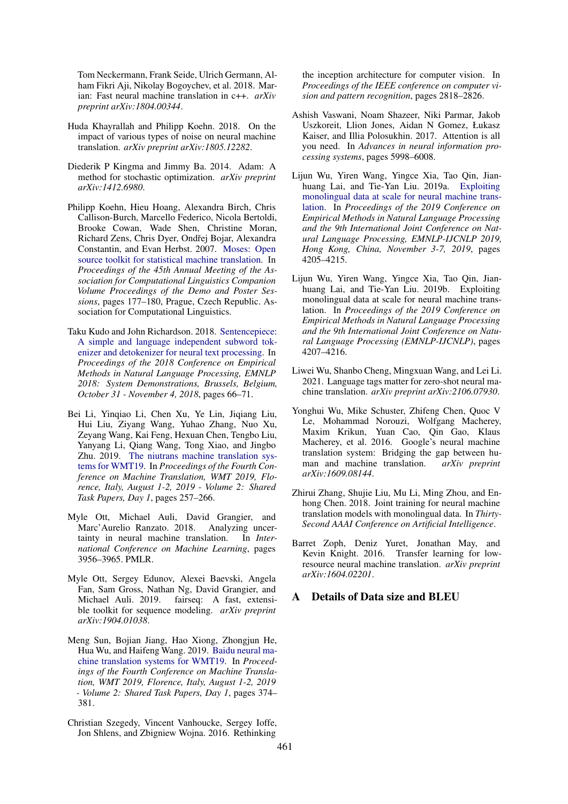Tom Neckermann, Frank Seide, Ulrich Germann, Alham Fikri Aji, Nikolay Bogoychev, et al. 2018. Marian: Fast neural machine translation in c++. *arXiv preprint arXiv:1804.00344*.

- <span id="page-5-4"></span>Huda Khayrallah and Philipp Koehn. 2018. On the impact of various types of noise on neural machine translation. *arXiv preprint arXiv:1805.12282*.
- <span id="page-5-10"></span>Diederik P Kingma and Jimmy Ba. 2014. Adam: A method for stochastic optimization. *arXiv preprint arXiv:1412.6980*.
- <span id="page-5-6"></span>Philipp Koehn, Hieu Hoang, Alexandra Birch, Chris Callison-Burch, Marcello Federico, Nicola Bertoldi, Brooke Cowan, Wade Shen, Christine Moran, Richard Zens, Chris Dyer, Ondřej Bojar, Alexandra Constantin, and Evan Herbst. 2007. [Moses: Open](https://www.aclweb.org/anthology/P07-2045) [source toolkit for statistical machine translation.](https://www.aclweb.org/anthology/P07-2045) In *Proceedings of the 45th Annual Meeting of the Association for Computational Linguistics Companion Volume Proceedings of the Demo and Poster Sessions*, pages 177–180, Prague, Czech Republic. Association for Computational Linguistics.
- <span id="page-5-14"></span>Taku Kudo and John Richardson. 2018. [Sentencepiece:](https://doi.org/10.18653/v1/d18-2012) [A simple and language independent subword tok](https://doi.org/10.18653/v1/d18-2012)[enizer and detokenizer for neural text processing.](https://doi.org/10.18653/v1/d18-2012) In *Proceedings of the 2018 Conference on Empirical Methods in Natural Language Processing, EMNLP 2018: System Demonstrations, Brussels, Belgium, October 31 - November 4, 2018*, pages 66–71.
- <span id="page-5-2"></span>Bei Li, Yinqiao Li, Chen Xu, Ye Lin, Jiqiang Liu, Hui Liu, Ziyang Wang, Yuhao Zhang, Nuo Xu, Zeyang Wang, Kai Feng, Hexuan Chen, Tengbo Liu, Yanyang Li, Qiang Wang, Tong Xiao, and Jingbo Zhu. 2019. [The niutrans machine translation sys](https://doi.org/10.18653/v1/w19-5325)[tems for WMT19.](https://doi.org/10.18653/v1/w19-5325) In *Proceedings of the Fourth Conference on Machine Translation, WMT 2019, Florence, Italy, August 1-2, 2019 - Volume 2: Shared Task Papers, Day 1*, pages 257–266.
- <span id="page-5-5"></span>Myle Ott, Michael Auli, David Grangier, and Marc'Aurelio Ranzato. 2018. Analyzing uncertainty in neural machine translation. In *International Conference on Machine Learning*, pages 3956–3965. PMLR.
- <span id="page-5-15"></span>Myle Ott, Sergey Edunov, Alexei Baevski, Angela Fan, Sam Gross, Nathan Ng, David Grangier, and Michael Auli. 2019. fairseq: A fast, extensible toolkit for sequence modeling. *arXiv preprint arXiv:1904.01038*.
- <span id="page-5-9"></span>Meng Sun, Bojian Jiang, Hao Xiong, Zhongjun He, Hua Wu, and Haifeng Wang. 2019. [Baidu neural ma](https://doi.org/10.18653/v1/w19-5341)[chine translation systems for WMT19.](https://doi.org/10.18653/v1/w19-5341) In *Proceedings of the Fourth Conference on Machine Translation, WMT 2019, Florence, Italy, August 1-2, 2019 - Volume 2: Shared Task Papers, Day 1*, pages 374– 381.
- <span id="page-5-11"></span>Christian Szegedy, Vincent Vanhoucke, Sergey Ioffe, Jon Shlens, and Zbigniew Wojna. 2016. Rethinking

the inception architecture for computer vision. In *Proceedings of the IEEE conference on computer vision and pattern recognition*, pages 2818–2826.

- <span id="page-5-8"></span>Ashish Vaswani, Noam Shazeer, Niki Parmar, Jakob Uszkoreit, Llion Jones, Aidan N Gomez, Łukasz Kaiser, and Illia Polosukhin. 2017. Attention is all you need. In *Advances in neural information processing systems*, pages 5998–6008.
- <span id="page-5-0"></span>Lijun Wu, Yiren Wang, Yingce Xia, Tao Qin, Jianhuang Lai, and Tie-Yan Liu. 2019a. [Exploiting](https://doi.org/10.18653/v1/D19-1430) [monolingual data at scale for neural machine trans](https://doi.org/10.18653/v1/D19-1430)[lation.](https://doi.org/10.18653/v1/D19-1430) In *Proceedings of the 2019 Conference on Empirical Methods in Natural Language Processing and the 9th International Joint Conference on Natural Language Processing, EMNLP-IJCNLP 2019, Hong Kong, China, November 3-7, 2019*, pages 4205–4215.
- <span id="page-5-13"></span>Lijun Wu, Yiren Wang, Yingce Xia, Tao Qin, Jianhuang Lai, and Tie-Yan Liu. 2019b. Exploiting monolingual data at scale for neural machine translation. In *Proceedings of the 2019 Conference on Empirical Methods in Natural Language Processing and the 9th International Joint Conference on Natural Language Processing (EMNLP-IJCNLP)*, pages 4207–4216.
- <span id="page-5-3"></span>Liwei Wu, Shanbo Cheng, Mingxuan Wang, and Lei Li. 2021. Language tags matter for zero-shot neural machine translation. *arXiv preprint arXiv:2106.07930*.
- <span id="page-5-12"></span>Yonghui Wu, Mike Schuster, Zhifeng Chen, Quoc V Le, Mohammad Norouzi, Wolfgang Macherey, Maxim Krikun, Yuan Cao, Qin Gao, Klaus Macherey, et al. 2016. Google's neural machine translation system: Bridging the gap between hu-<br>man and machine translation.  $arXiv$  preprint man and machine translation. *arXiv:1609.08144*.
- <span id="page-5-1"></span>Zhirui Zhang, Shujie Liu, Mu Li, Ming Zhou, and Enhong Chen. 2018. Joint training for neural machine translation models with monolingual data. In *Thirty-Second AAAI Conference on Artificial Intelligence*.
- <span id="page-5-7"></span>Barret Zoph, Deniz Yuret, Jonathan May, and Kevin Knight. 2016. Transfer learning for lowresource neural machine translation. *arXiv preprint arXiv:1604.02201*.

### A Details of Data size and BLEU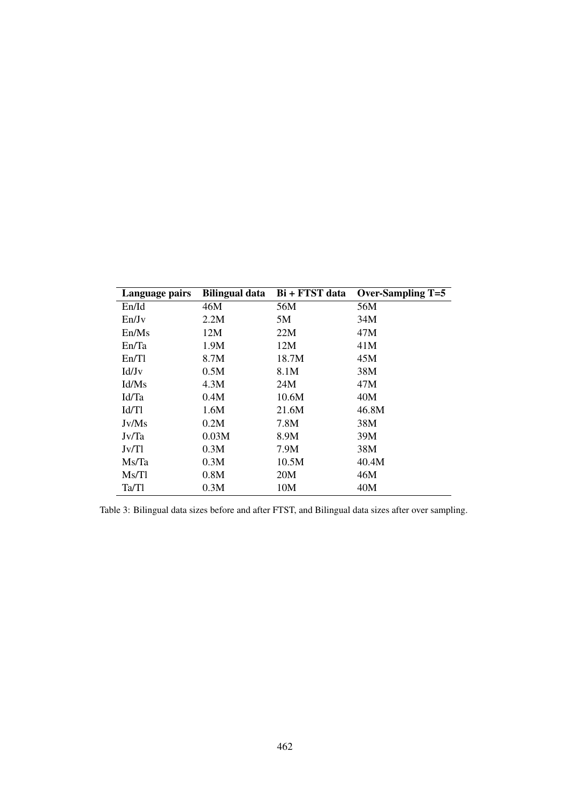<span id="page-6-0"></span>

| Language pairs    | <b>Bilingual data</b> | Bi + FTST data | <b>Over-Sampling T=5</b> |
|-------------------|-----------------------|----------------|--------------------------|
| En/Id             | 46M                   | 56M            | 56M                      |
| En/Jv             | 2.2M                  | 5M             | 34M                      |
| En/Ms             | 12M                   | 22M            | 47M                      |
| En/Ta             | 1.9M                  | 12M            | 41M                      |
| En/T1             | 8.7M                  | 18.7M          | 45M                      |
| Id/J <sub>v</sub> | 0.5M                  | 8.1M           | 38M                      |
| Id/Ms             | 4.3M                  | 24M            | 47M                      |
| Id/Ta             | 0.4M                  | 10.6M          | 40M                      |
| Id/Tl             | 1.6M                  | 21.6M          | 46.8M                    |
| Jv/Ms             | 0.2M                  | 7.8M           | 38M                      |
| Jv/Ta             | 0.03M                 | 8.9M           | 39M                      |
| Jv/Tl             | 0.3M                  | 7.9M           | 38M                      |
| Ms/Ta             | 0.3M                  | 10.5M          | 40.4M                    |
| Ms/Tl             | 0.8M                  | 20M            | 46M                      |
| Ta/Tl             | 0.3M                  | 10M            | 40M                      |

Table 3: Bilingual data sizes before and after FTST, and Bilingual data sizes after over sampling.